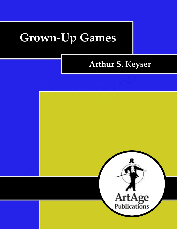# **Grown-Up Games**

# **Arthur S. Keyser**

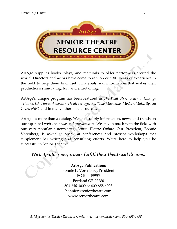

ArtAge supplies books, plays, and materials to older performers around the world. Directors and actors have come to rely on our 30+ years of experience in the field to help them find useful materials and information that makes their productions stimulating, fun, and entertaining.

ArtAge's unique program has been featured in *The Wall Street Journal, Chicago Tribune, LA Times, American Theatre Magazine*, *Time Magazine, Modern Maturity,* on *CNN, NBC,* and in many other media sources.

ArtAge is more than a catalog. We also supply information, news, and trends on our top-rated website, *www.seniortheatre.com*. We stay in touch with the field with our very popular e-newsletter, *Senior Theatre Online*. Our President, Bonnie Vorenberg, is asked to speak at conferences and present workshops that supplement her writing and consulting efforts. We're here to help you be successful in Senior Theatre!

# *We help older performers fulfill their theatrical dreams!*

**ArtAge Publications** Bonnie L. Vorenberg, President PO Box 19955 Portland OR 97280 503-246-3000 or 800-858-4998 bonniev@seniortheatre.com www.seniortheatre.com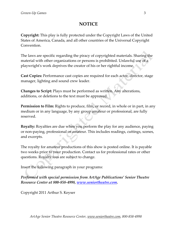## **NOTICE**

**Copyright:** This play is fully protected under the Copyright Laws of the United States of America, Canada, and all other countries of the Universal Copyright Convention.

The laws are specific regarding the piracy of copyrighted materials. Sharing the material with other organizations or persons is prohibited. Unlawful use of a playwright's work deprives the creator of his or her rightful income.

**Cast Copies:** Performance cast copies are required for each actor, director, stage manager, lighting and sound crew leader.

**Changes to Script:** Plays must be performed as written. Any alterations, additions, or deletions to the text must be approved.

**Permission to Film:** Rights to produce, film, or record, in whole or in part, in any medium or in any language, by any group amateur or professional, are fully reserved.

**Royalty:** Royalties are due when you perform the play for any audience, paying or non-paying, professional or amateur. This includes readings, cuttings, scenes, and excerpts.

The royalty for amateur productions of this show is posted online. It is payable two weeks prior to your production. Contact us for professional rates or other questions. Royalty fees are subject to change.

Insert the following paragraph in your programs:

*Performed with special permission from ArtAge Publications' Senior Theatre Resource Center at 800-858-4998, [www.seniortheatre.com.](http://www.seniortheatre.com/)*

Copyright 2011 Arthur S. Keyser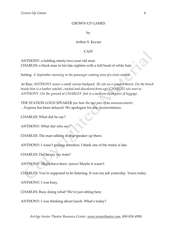#### GROWN-UP GAMES

by

#### Arthur S. Keyser

#### **CAST**

ANTHONY: a balding ninety-two-year-old man. CHARLES: a black man in his late eighties with a full head of white hair.

Setting*: A September morning in the passenger waiting area of a train station.*

At Rise: *ANTHONY wears a small canvas backpack. He sits on a wooden bench. On the bench beside him is a leather satchel, cracked and discolored from age. CHARLES sits next to ANTHONY. On the ground at CHARLES' feet is a medium-sized piece of luggage.*

THE STATION LOUD SPEAKER (*we hear the last part of an announcement)* …Express has been delayed. We apologize for any inconvenience.

CHARLES: What did he say?

ANTHONY: What did who say?

CHARLES: The man talking in that speaker up there.

ANTHONY: I wasn't paying attention. I think one of the trains is late.

CHARLES: Did he say my train?

ANTHONY: Might have been. *(pause)* Maybe it wasn't.

CHARLES: You're supposed to be listening. It was my job yesterday. Yours today.

ANTHONY: I was busy.

CHARLES: Busy doing what? We're just sitting here.

ANTHONY: I was thinking about lunch. What's today?

*ArtAge Senior Theatre Resource Center, www.seniortheatre.com, 800-858-4998*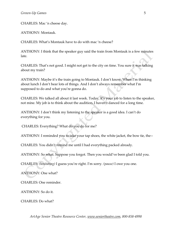CHARLES: Mac 'n cheese day.

ANTHONY: Montauk.

CHARLES: What's Montauk have to do with mac 'n cheese?

ANTHONY: I think that the speaker guy said the train from Montauk is a few minutes late.

CHARLES: That's not good. I might not get to the city on time. You sure it was talking about my train?

ANTHONY: Maybe it's the train going to Montauk. I don't know. When I'm thinking about lunch I don't hear lots of things. And I don't always remember what I'm supposed to do and what you're gonna do.

CHARLES: We talked all about it last week. Today, it's your job to listen to the speaker, not mine. My job is to think about the audition. I haven't danced for a long time.

ANTHONY: I don't think my listening to the speaker is a good idea. I can't do everything for you.

CHARLES: Everything? What do you do for me?

ANTHONY: I reminded you to take your tap shoes, the white jacket, the bow tie, the--

CHARLES: You didn't remind me until I had everything packed already.

ANTHONY: So what. Suppose you forgot. Then you would've been glad I told you.

CHARLES: *(hesitating)* I guess you're right. I'm sorry. *(pause)* I owe you one.

ANTHONY: One what?

CHARLES: One reminder.

ANTHONY: So do it.

CHARLES: Do what?